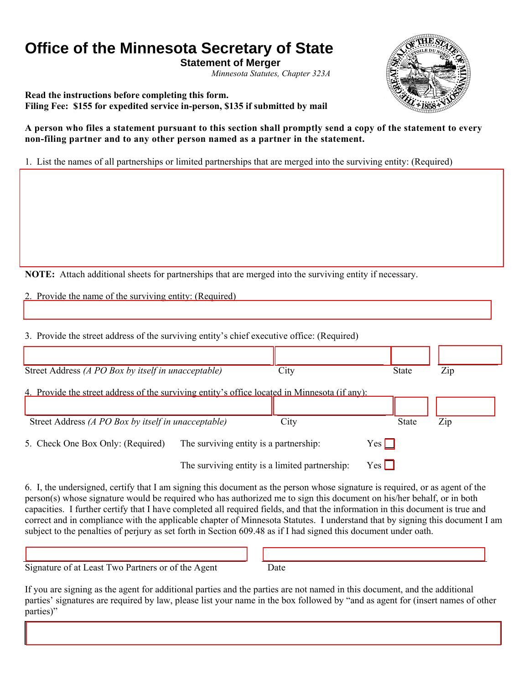# **Office of the Minnesota Secretary of State**

**Statement of Merger**

*Minnesota Statutes, Chapter 323A* 

**Read the instructions before completing this form. Filing Fee: \$155 for expedited service in-person, \$135 if submitted by mail** 



**A person who files a statement pursuant to this section shall promptly send a copy of the statement to every non-filing partner and to any other person named as a partner in the statement.** 

1. List the names of all partnerships or limited partnerships that are merged into the surviving entity: (Required)

**NOTE:** Attach additional sheets for partnerships that are merged into the surviving entity if necessary.

2. Provide the name of the surviving entity: (Required)

3. Provide the street address of the surviving entity's chief executive office: (Required)

| Street Address (A PO Box by itself in unacceptable)                                           |                                                | City |       | <b>State</b> | Zip |
|-----------------------------------------------------------------------------------------------|------------------------------------------------|------|-------|--------------|-----|
| 4. Provide the street address of the surviving entity's office located in Minnesota (if any): |                                                |      |       |              |     |
|                                                                                               |                                                |      |       |              |     |
| Street Address (A PO Box by itself in unacceptable)                                           |                                                | City |       | <b>State</b> | Zip |
| 5. Check One Box Only: (Required)                                                             | The surviving entity is a partnership:         |      | Yes L |              |     |
|                                                                                               | The surviving entity is a limited partnership: |      | Yes L |              |     |

6. I, the undersigned, certify that I am signing this document as the person whose signature is required, or as agent of the person(s) whose signature would be required who has authorized me to sign this document on his/her behalf, or in both capacities. I further certify that I have completed all required fields, and that the information in this document is true and correct and in compliance with the applicable chapter of Minnesota Statutes. I understand that by signing this document I am subject to the penalties of perjury as set forth in Section 609.48 as if I had signed this document under oath.

Signature of at Least Two Partners or of the Agent Date

I

If you are signing as the agent for additional parties and the parties are not named in this document, and the additional parties' signatures are required by law, please list your name in the box followed by "and as agent for (insert names of other parties)"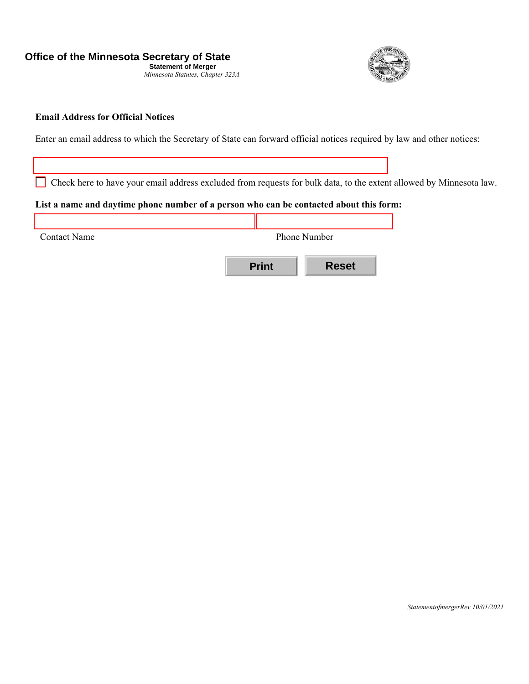**Office of the Minnesota Secretary of State**

**Statement of Merger**   *Minnesota Statutes, Chapter 323A* 



## **Email Address for Official Notices**

Enter an email address to which the Secretary of State can forward official notices required by law and other notices:

Check here to have your email address excluded from requests for bulk data, to the extent allowed by Minnesota law.

## **List a name and daytime phone number of a person who can be contacted about this form:**

| <b>Contact Name</b> |              | Phone Number |  |
|---------------------|--------------|--------------|--|
|                     | <b>Print</b> | <b>Reset</b> |  |

*StatementofmergerRev.10/01/2021*